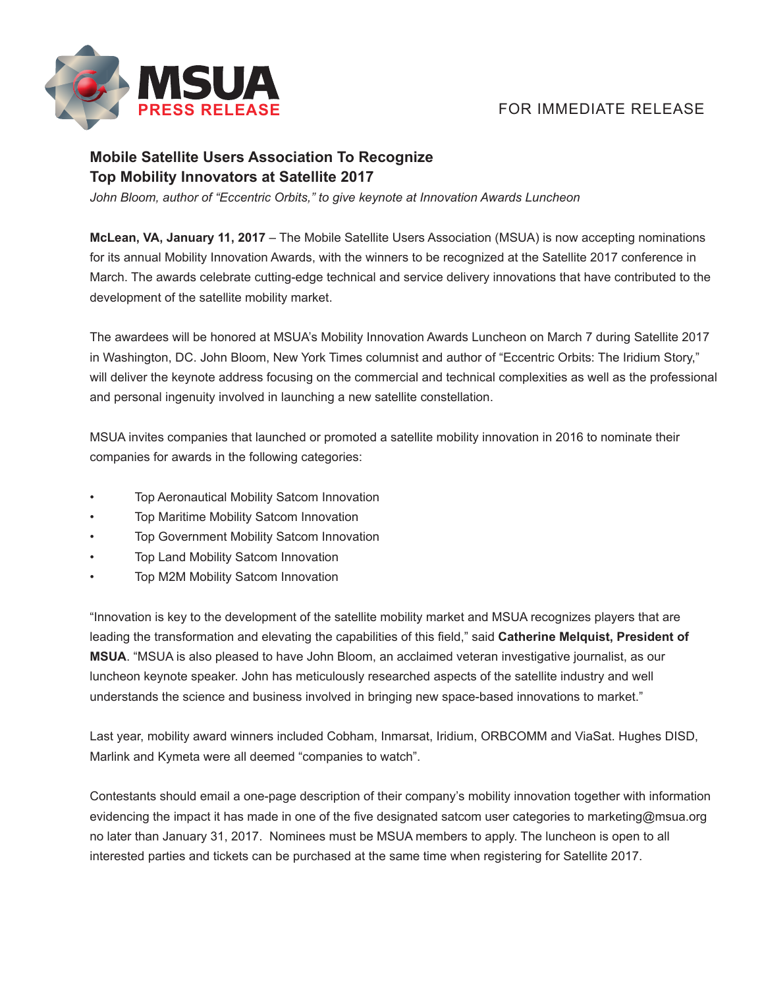

## **FOR IMMEDIATE RELEASE**

## **Mobile Satellite Users Association To Recognize Top Mobility Innovators at Satellite 2017**

*John Bloom, author of "Eccentric Orbits," to give keynote at Innovation Awards Luncheon*

**McLean, VA, January 11, 2017** – The Mobile Satellite Users Association (MSUA) is now accepting nominations for its annual Mobility Innovation Awards, with the winners to be recognized at the Satellite 2017 conference in March. The awards celebrate cutting-edge technical and service delivery innovations that have contributed to the development of the satellite mobility market.

The awardees will be honored at MSUA's Mobility Innovation Awards Luncheon on March 7 during Satellite 2017 in Washington, DC. John Bloom, New York Times columnist and author of "Eccentric Orbits: The Iridium Story," will deliver the keynote address focusing on the commercial and technical complexities as well as the professional and personal ingenuity involved in launching a new satellite constellation.

MSUA invites companies that launched or promoted a satellite mobility innovation in 2016 to nominate their companies for awards in the following categories:

- Top Aeronautical Mobility Satcom Innovation
- Top Maritime Mobility Satcom Innovation
- Top Government Mobility Satcom Innovation
- Top Land Mobility Satcom Innovation
- Top M2M Mobility Satcom Innovation

"Innovation is key to the development of the satellite mobility market and MSUA recognizes players that are leading the transformation and elevating the capabilities of this field," said **Catherine Melquist, President of MSUA**. "MSUA is also pleased to have John Bloom, an acclaimed veteran investigative journalist, as our luncheon keynote speaker. John has meticulously researched aspects of the satellite industry and well understands the science and business involved in bringing new space-based innovations to market."

Last year, mobility award winners included Cobham, Inmarsat, Iridium, ORBCOMM and ViaSat. Hughes DISD, Marlink and Kymeta were all deemed "companies to watch".

Contestants should email a one-page description of their company's mobility innovation together with information evidencing the impact it has made in one of the five designated satcom user categories to marketing@msua.org no later than January 31, 2017. Nominees must be MSUA members to apply. The luncheon is open to all interested parties and tickets can be purchased at the same time when registering for Satellite 2017.